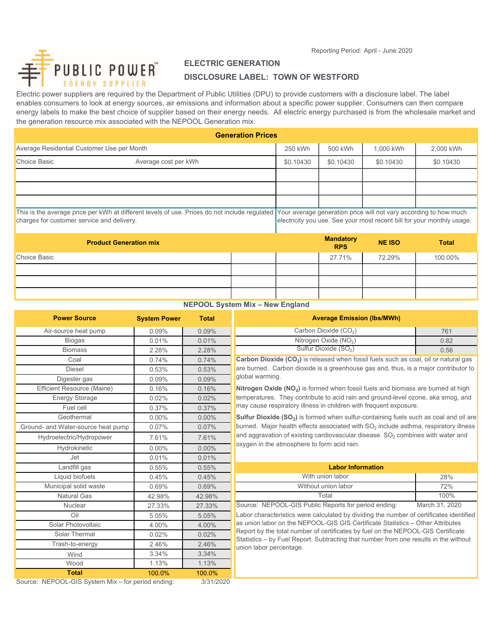Reporting Period: April - June 2020



# **ELECTRIC GENERATION**

# **DISCLOSURE LABEL: TOWN OF WESTFORD**

Electric power suppliers are required by the Department of Public Utilities (DPU) to provide customers with a disclosure label. The label enables consumers to look at energy sources, air emissions and information about a specific power supplier. Consumers can then compare energy labels to make the best choice of supplier based on their energy needs. All electric energy purchased is from the wholesale market and the generation resource mix associated with the NEPOOL Generation mix.

| <b>Generation Prices</b>                                                                                                                    |                               |                                                                                                                                             |           |                                |               |              |
|---------------------------------------------------------------------------------------------------------------------------------------------|-------------------------------|---------------------------------------------------------------------------------------------------------------------------------------------|-----------|--------------------------------|---------------|--------------|
| Average Residential Customer Use per Month                                                                                                  |                               | 250 kWh                                                                                                                                     | 500 kWh   | 1.000 kWh                      | 2,000 kWh     |              |
| <b>Choice Basic</b>                                                                                                                         | Average cost per kWh          |                                                                                                                                             | \$0.10430 | \$0.10430                      | \$0.10430     | \$0.10430    |
|                                                                                                                                             |                               |                                                                                                                                             |           |                                |               |              |
|                                                                                                                                             |                               |                                                                                                                                             |           |                                |               |              |
|                                                                                                                                             |                               |                                                                                                                                             |           |                                |               |              |
| This is the average price per kWh at different levels of use. Prices do not include regulated<br>charges for customer service and delivery. |                               | Your average generation price will not vary according to how much<br>electricity you use. See your most recent bill for your monthly usage. |           |                                |               |              |
|                                                                                                                                             | <b>Product Generation mix</b> |                                                                                                                                             |           | <b>Mandatory</b><br><b>RPS</b> | <b>NE ISO</b> | <b>Total</b> |
| <b>Choice Basic</b>                                                                                                                         |                               |                                                                                                                                             |           | 27.71%                         | 72.29%        | 100.00%      |

|  | NEPOOL System Mix - New England |  |
|--|---------------------------------|--|

| <b>Power Source</b>                                            | <b>System Power</b> | <b>Total</b>          | <b>Average Emission (lbs/MWh)</b>                                                                                                                                                               |                |
|----------------------------------------------------------------|---------------------|-----------------------|-------------------------------------------------------------------------------------------------------------------------------------------------------------------------------------------------|----------------|
| Air-source heat pump                                           | 0.09%               | 0.09%                 | Carbon Dioxide (CO <sub>2</sub> )                                                                                                                                                               | 761            |
| <b>Biogas</b>                                                  | 0.01%               | 0.01%                 | Nitrogen Oxide (NO <sub>2</sub> )                                                                                                                                                               | 0.82           |
| <b>Biomass</b>                                                 | 2.28%               | 2.28%                 | Sulfur Dioxide (SO <sub>2</sub> )                                                                                                                                                               | 0.56           |
| Coal                                                           | 0.74%               | 0.74%                 | Carbon Dioxide (CO <sub>2</sub> ) is released when fossil fuels such as coal, oil or natural                                                                                                    |                |
| <b>Diesel</b>                                                  | 0.53%               | 0.53%                 | are burned. Carbon dioxide is a greenhouse gas and, thus, is a major contribut                                                                                                                  |                |
| Digester gas                                                   | 0.09%               | 0.09%                 | global warming.                                                                                                                                                                                 |                |
| <b>Efficient Resource (Maine)</b>                              | 0.16%               | 0.16%                 | Nitrogen Oxide (NO <sub>2</sub> ) is formed when fossil fuels and biomass are burned at h                                                                                                       |                |
| <b>Energy Storage</b>                                          | 0.02%               | 0.02%                 | temperatures. They contribute to acid rain and ground-level ozone, aka smog,                                                                                                                    |                |
| Fuel cell                                                      | 0.37%               | 0.37%                 | may cause respiratory illness in children with frequent exposure.                                                                                                                               |                |
| Geothermal                                                     | $0.00\%$            | $0.00\%$              | <b>Sulfur Dioxide (SO<sub>2</sub>)</b> is formed when sulfur-containing fuels such as coal and o                                                                                                |                |
| Ground- and Water-source heat pump                             | 0.07%               | 0.07%                 | burned. Major health effects associated with $SO2$ include asthma, respiratory ill                                                                                                              |                |
| Hydroelectric/Hydropower                                       | 7.61%               | 7.61%                 | and aggravation of existing cardiovascular disease. $SO2$ combines with water a                                                                                                                 |                |
| Hydrokinetic                                                   | $0.00\%$            | $0.00\%$              | oxygen in the atmosphere to form acid rain.                                                                                                                                                     |                |
| Jet                                                            | 0.01%               | 0.01%                 |                                                                                                                                                                                                 |                |
| Landfill gas                                                   | 0.55%               | 0.55%                 | <b>Labor Information</b>                                                                                                                                                                        |                |
| Liquid biofuels                                                | 0.45%               | 0.45%                 | With union labor                                                                                                                                                                                | 28%            |
| Municipal solid waste                                          | 0.69%               | 0.69%                 | Without union labor                                                                                                                                                                             | 72%            |
| <b>Natural Gas</b>                                             | 42.98%              | 42.98%                | Total                                                                                                                                                                                           | 100%           |
| Nuclear                                                        | 27.33%              | 27.33%                | Source: NEPOOL-GIS Public Reports for period ending:                                                                                                                                            | March 31, 2020 |
| Oil                                                            | 5.05%               | 5.05%                 | Labor characteristics were calculated by dividing the number of certificates iden                                                                                                               |                |
| Solar Photovoltaic                                             | 4.00%               | 4.00%                 | as union labor on the NEPOOL-GIS GIS Certificate Statistics - Other Attributes                                                                                                                  |                |
| Solar Thermal                                                  | 0.02%               | 0.02%                 | Report by the total number of certificates by fuel on the NEPOOL-GIS Certificat<br>Statistics - by Fuel Report. Subtracting that number from one results in the with<br>union labor percentage. |                |
| Trash-to-energy                                                | 2.46%               | 2.46%                 |                                                                                                                                                                                                 |                |
| Wind                                                           | 3.34%               | 3.34%                 |                                                                                                                                                                                                 |                |
| Wood                                                           | 1.13%               | 1.13%                 |                                                                                                                                                                                                 |                |
| <b>Total</b><br>Course NEDOOL OR Custom Mix for poriod andinal | 100.0%              | 100.0%<br>$212410000$ |                                                                                                                                                                                                 |                |

| em Power | Total    | <b>Average Emission (Ibs/MWh)</b> |      |
|----------|----------|-----------------------------------|------|
| $0.09\%$ | 0.09%    | Carbon Dioxide (CO <sub>2</sub> ) | 761  |
| $0.01\%$ | 0.01%    | Nitrogen Oxide $(NO2)$            | 0.82 |
| 2.28%    | $2.28\%$ | Sulfur Dioxide (SO <sub>2</sub> ) | 0.56 |

Carbon Dioxide (CO<sub>2</sub>) is released when fossil fuels such as coal, oil or natural gas are burned. Carbon dioxide is a greenhouse gas and, thus, is a major contributor to global warming.

Nitrogen Oxide (NO<sub>2</sub>) is formed when fossil fuels and biomass are burned at high temperatures. They contribute to acid rain and ground-level ozone, aka smog, and may cause respiratory illness in children with frequent exposure.

**Sulfur Dioxide (SO<sub>2</sub>)** is formed when sulfur-containing fuels such as coal and oil are burned. Major health effects associated with  $SO<sub>2</sub>$  include asthma, respiratory illness and aggravation of existing cardiovascular disease.  $SO<sub>2</sub>$  combines with water and oxygen in the atmosphere to form acid rain.

| 0.55%  | 0.55%    | <b>Labor Information</b> |                                                                               |
|--------|----------|--------------------------|-------------------------------------------------------------------------------|
| 0.45%  | 0.45%    | With union labor         | 28%                                                                           |
| 0.69%  | 0.69%    | Without union labor      | 72%                                                                           |
| 42.98% | 42.98%   | Total                    | 100%                                                                          |
| ------ | $\cdots$ |                          | $\mathbf{1}$ $\mathbf{1}$ $\mathbf{0}$ $\mathbf{1}$ $\mathbf{0}$ $\mathbf{0}$ |

Labor characteristics were calculated by dividing the number of certificates identified as union labor on the NEPOOL-GIS GIS Certificate Statistics – Other Attributes Report by the total number of certificates by fuel on the NEPOOL-GIS Certificate Statistics – by Fuel Report. Subtracting that number from one results in the without union labor percentage.

Source: NEPOOL-GIS System Mix – for period ending: 3/31/2020